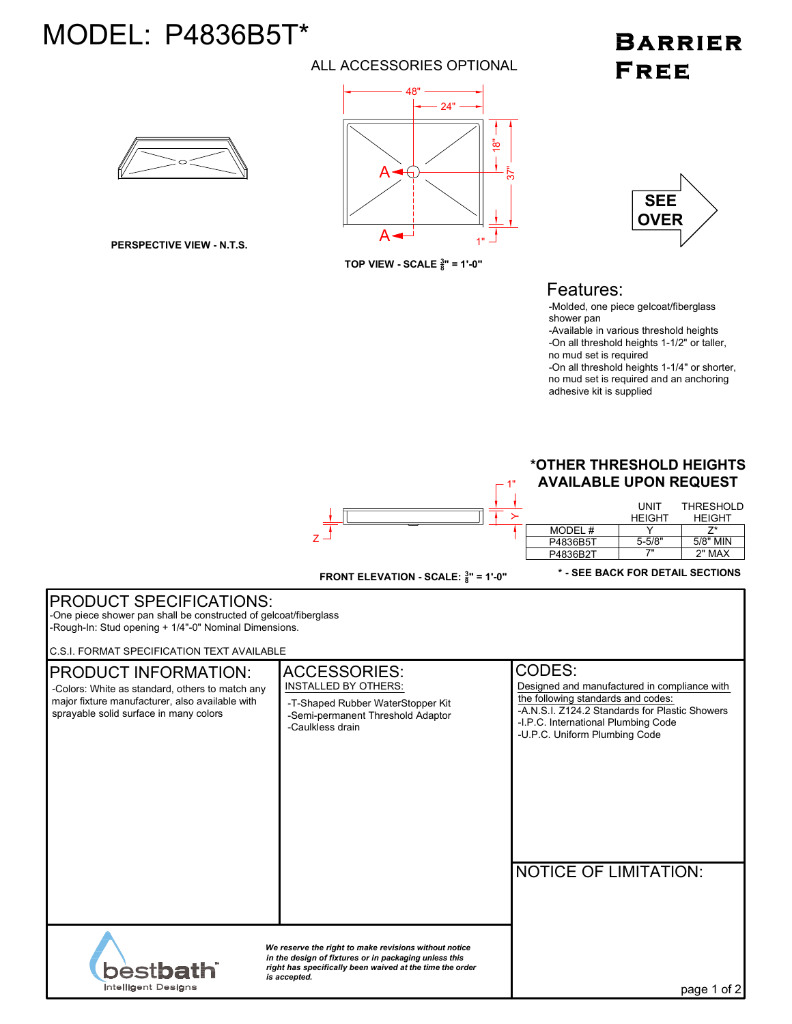# MODEL: P4836B5T\*

### ALL ACCESSORIES OPTIONAL

## **BARRIER FREE**



**PERSPECTIVE VIEW - N.T.S.**



**TOP VIEW - SCALE <sup>3</sup> 8 " = 1'-0"**



### Features:

-Molded, one piece gelcoat/fiberglass shower pan

-Available in various threshold heights -On all threshold heights 1-1/2" or taller, no mud set is required

-On all threshold heights 1-1/4" or shorter, no mud set is required and an anchoring adhesive kit is supplied

#### **\*OTHER THRESHOLD HEIGHTS AVAILABLE UPON REQUEST**

|          | UNIT<br><b>HEIGHT</b> | <b>THRESHOLD</b><br><b>HFIGHT</b> |
|----------|-----------------------|-----------------------------------|
| MODEL#   |                       | 7*                                |
| P4836B5T | $5 - 5/8"$            | 5/8" MIN                          |
| P4836B2T | 7"                    | 2" MAX                            |

 $\Gamma$ <sup>1"</sup>

**\* - SEE BACK FOR DETAIL SECTIONS**

| <b>PRODUCT SPECIFICATIONS:</b><br>-One piece shower pan shall be constructed of gelcoat/fiberglass<br>-Rough-In: Stud opening + 1/4"-0" Nominal Dimensions.                                                                             |                                                                                                                                                  |                                                                                                                                                                                                                                                        |  |  |
|-----------------------------------------------------------------------------------------------------------------------------------------------------------------------------------------------------------------------------------------|--------------------------------------------------------------------------------------------------------------------------------------------------|--------------------------------------------------------------------------------------------------------------------------------------------------------------------------------------------------------------------------------------------------------|--|--|
| <b>C.S.I. FORMAT SPECIFICATION TEXT AVAILABLE</b>                                                                                                                                                                                       |                                                                                                                                                  |                                                                                                                                                                                                                                                        |  |  |
| <b>PRODUCT INFORMATION:</b><br>-Colors: White as standard, others to match any<br>major fixture manufacturer, also available with<br>sprayable solid surface in many colors                                                             | <b>ACCESSORIES:</b><br><b>INSTALLED BY OTHERS:</b><br>-T-Shaped Rubber WaterStopper Kit<br>-Semi-permanent Threshold Adaptor<br>-Caulkless drain | CODES:<br>Designed and manufactured in compliance with<br>the following standards and codes:<br>-A.N.S.I. Z124.2 Standards for Plastic Showers<br>-I.P.C. International Plumbing Code<br>-U.P.C. Uniform Plumbing Code<br><b>NOTICE OF LIMITATION:</b> |  |  |
| We reserve the right to make revisions without notice<br>in the design of fixtures or in packaging unless this<br>best <b>bath</b> i<br>right has specifically been waived at the time the order<br>is accepted.<br>Intelligent Designs |                                                                                                                                                  | page 1 of 2                                                                                                                                                                                                                                            |  |  |

**FRONT ELEVATION - SCALE: <sup>3</sup> <sup>8</sup>" = 1'-0"**